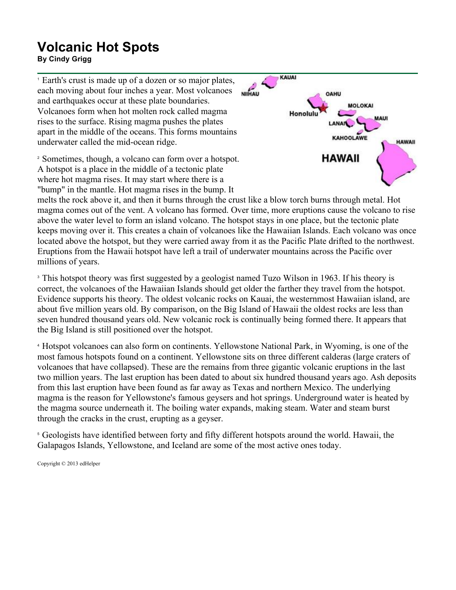## **Volcanic Hot Spots**

**By Cindy Grigg**

<sup>1</sup> Earth's crust is made up of a dozen or so major plates, each moving about four inches a year. Most volcanoes and earthquakes occur at these plate boundaries. Volcanoes form when hot molten rock called magma rises to the surface. Rising magma pushes the plates apart in the middle of the oceans. This forms mountains underwater called the mid-ocean ridge.

<sup>2</sup> Sometimes, though, a volcano can form over a hotspot. A hotspot is a place in the middle of a tectonic plate where hot magma rises. It may start where there is a "bump" in the mantle. Hot magma rises in the bump. It



melts the rock above it, and then it burns through the crust like a blow torch burns through metal. Hot magma comes out of the vent. A volcano has formed. Over time, more eruptions cause the volcano to rise above the water level to form an island volcano. The hotspot stays in one place, but the tectonic plate keeps moving over it. This creates a chain of volcanoes like the Hawaiian Islands. Each volcano was once located above the hotspot, but they were carried away from it as the Pacific Plate drifted to the northwest. Eruptions from the Hawaii hotspot have left a trail of underwater mountains across the Pacific over millions of years.

<sup>3</sup> This hotspot theory was first suggested by a geologist named Tuzo Wilson in 1963. If his theory is correct, the volcanoes of the Hawaiian Islands should get older the farther they travel from the hotspot. Evidence supports his theory. The oldest volcanic rocks on Kauai, the westernmost Hawaiian island, are about five million years old. By comparison, on the Big Island of Hawaii the oldest rocks are less than seven hundred thousand years old. New volcanic rock is continually being formed there. It appears that the Big Island is still positioned over the hotspot.

<sup>4</sup> Hotspot volcanoes can also form on continents. Yellowstone National Park, in Wyoming, is one of the most famous hotspots found on a continent. Yellowstone sits on three different calderas (large craters of volcanoes that have collapsed). These are the remains from three gigantic volcanic eruptions in the last two million years. The last eruption has been dated to about six hundred thousand years ago. Ash deposits from this last eruption have been found as far away as Texas and northern Mexico. The underlying magma is the reason for Yellowstone's famous geysers and hot springs. Underground water is heated by the magma source underneath it. The boiling water expands, making steam. Water and steam burst through the cracks in the crust, erupting as a geyser.

<sup>5</sup> Geologists have identified between forty and fifty different hotspots around the world. Hawaii, the Galapagos Islands, Yellowstone, and Iceland are some of the most active ones today.

Copyright © 2013 edHelper